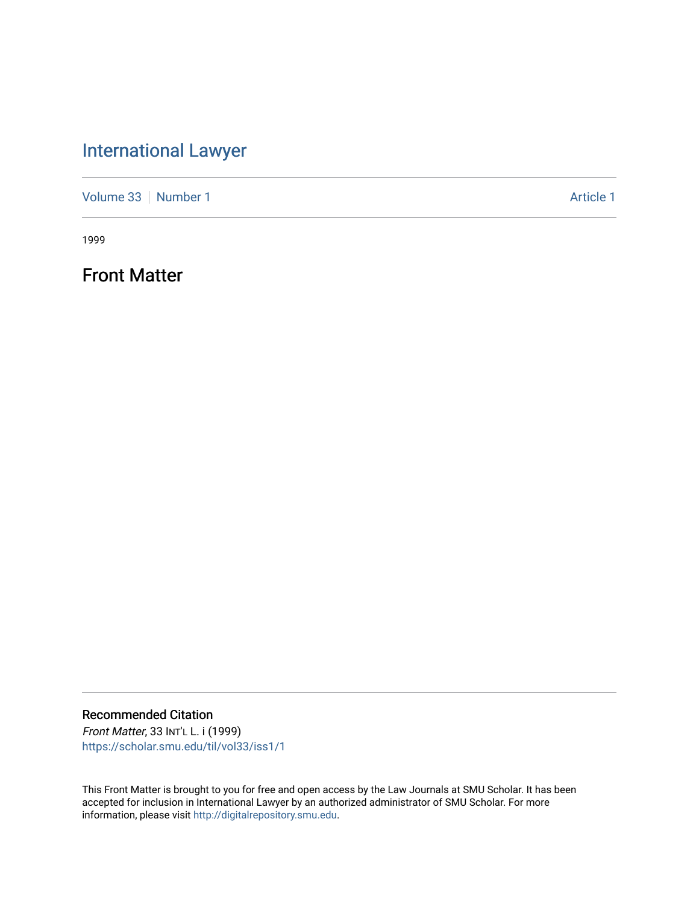## [International Lawyer](https://scholar.smu.edu/til)

[Volume 33](https://scholar.smu.edu/til/vol33) [Number 1](https://scholar.smu.edu/til/vol33/iss1) Article 1

1999

Front Matter

Recommended Citation

Front Matter, 33 INT'L L. i (1999) [https://scholar.smu.edu/til/vol33/iss1/1](https://scholar.smu.edu/til/vol33/iss1/1?utm_source=scholar.smu.edu%2Ftil%2Fvol33%2Fiss1%2F1&utm_medium=PDF&utm_campaign=PDFCoverPages)

This Front Matter is brought to you for free and open access by the Law Journals at SMU Scholar. It has been accepted for inclusion in International Lawyer by an authorized administrator of SMU Scholar. For more information, please visit [http://digitalrepository.smu.edu](http://digitalrepository.smu.edu/).